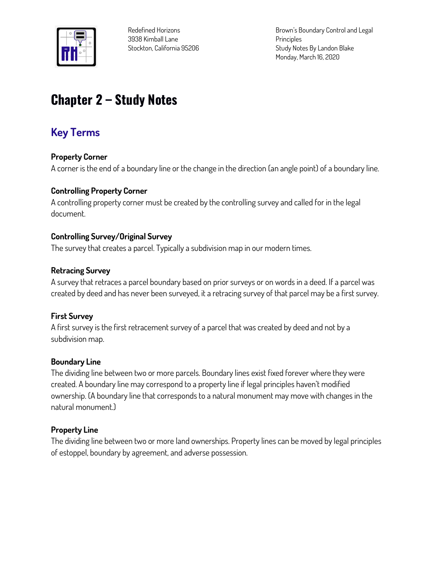

**Brown's Boundary Control and Legal Principles Study Notes By Landon Blake Monday, March 16, 2020**

# **Chapter 2 – Study Notes**

# **Key Terms**

#### **Property Corner**

**A corner is the end of a boundary line or the change in the direction (an angle point) of a boundary line.**

#### **Controlling Property Corner**

**A controlling property corner must be created by the controlling survey and called for in the legal document.**

#### **Controlling Survey/Original Survey**

**The survey that creates a parcel. Typically a subdivision map in our modern times.**

#### **Retracing Survey**

**A survey that retraces a parcel boundary based on prior surveys or on words in a deed. If a parcel was created by deed and has never been surveyed, it a retracing survey of that parcel may be a first survey.**

#### **First Survey**

**A first survey is the first retracement survey of a parcel that was created by deed and not by a subdivision map.**

#### **Boundary Line**

**The dividing line between two or more parcels. Boundary lines exist fixed forever where they were created. A boundary line may correspond to a property line if legal principles haven't modified ownership. (A boundary line that corresponds to a natural monument may move with changes in the natural monument.)**

### **Property Line**

**The dividing line between two or more land ownerships. Property lines can be moved by legal principles of estoppel, boundary by agreement, and adverse possession.**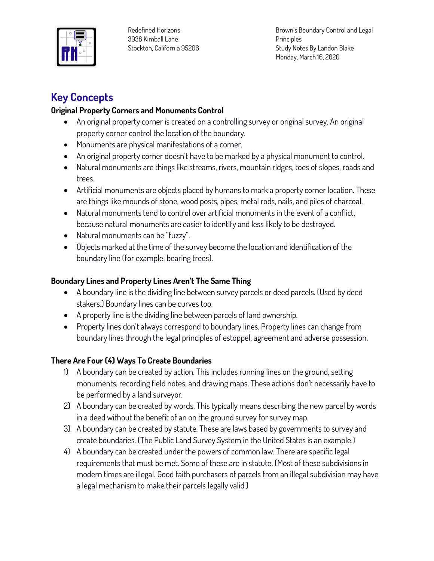

**Brown's Boundary Control and Legal Principles Study Notes By Landon Blake Monday, March 16, 2020**

# **Key Concepts**

# **Original Property Corners and Monuments Control**

- **An original property corner is created on a controlling survey or original survey. An original property corner control the location of the boundary.**
- **Monuments are physical manifestations of a corner.**
- **An original property corner doesn't have to be marked by a physical monument to control.**
- **Natural monuments are things like streams, rivers, mountain ridges, toes of slopes, roads and trees.**
- **Artificial monuments are objects placed by humans to mark a property corner location. These are things like mounds of stone, wood posts, pipes, metal rods, nails, and piles of charcoal.**
- **Natural monuments tend to control over artificial monuments in the event of a conflict, because natural monuments are easier to identify and less likely to be destroyed.**
- **Natural monuments can be "fuzzy".**
- **Objects marked at the time of the survey become the location and identification of the boundary line (for example: bearing trees).**

# **Boundary Lines and Property Lines Aren't The Same Thing**

- **A boundary line is the dividing line between survey parcels or deed parcels. (Used by deed stakers.) Boundary lines can be curves too.**
- **A property line is the dividing line between parcels of land ownership.**
- **Property lines don't always correspond to boundary lines. Property lines can change from boundary lines through the legal principles of estoppel, agreement and adverse possession.**

# **There Are Four (4) Ways To Create Boundaries**

- **1) A boundary can be created by action. This includes running lines on the ground, setting monuments, recording field notes, and drawing maps. These actions don't necessarily have to be performed by a land surveyor.**
- **2) A boundary can be created by words. This typically means describing the new parcel by words in a deed without the benefit of an on the ground survey for survey map.**
- **3) A boundary can be created by statute. These are laws based by governments to survey and create boundaries. (The Public Land Survey System in the United States is an example.)**
- **4) A boundary can be created under the powers of common law. There are specific legal requirements that must be met. Some of these are in statute. (Most of these subdivisions in modern times are illegal. Good faith purchasers of parcels from an illegal subdivision may have a legal mechanism to make their parcels legally valid.)**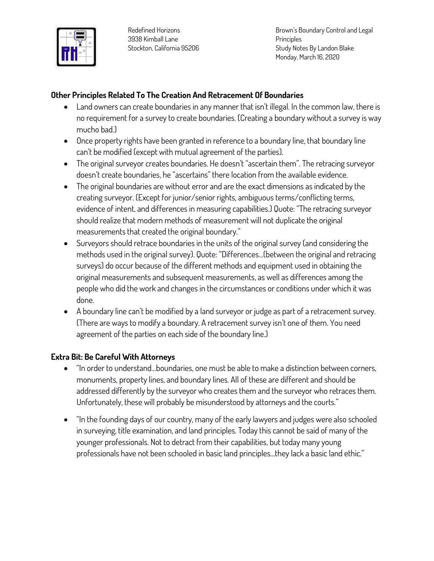

**Brown's Boundary Control and Legal Principles Study Notes By Landon Blake Monday, March 16, 2020**

#### **Other Principles Related To The Creation And Retracement Of Boundaries**

- **Land owners can create boundaries in any manner that isn't illegal. In the common law, there is no requirement for a survey to create boundaries. (Creating a boundary without a survey is way mucho bad.)**
- **Once property rights have been granted in reference to a boundary line, that boundary line can't be modified (except with mutual agreement of the parties).**
- **The original surveyor creates boundaries. He doesn't "ascertain them". The retracing surveyor doesn't create boundaries, he "ascertains" there location from the available evidence.**
- **The original boundaries are without error and are the exact dimensions as indicated by the creating surveyor. (Except for junior/senior rights, ambiguous terms/conflicting terms, evidence of intent, and differences in measuring capabilities.) Quote: "The retracing surveyor should realize that modern methods of measurement will not duplicate the original measurements that created the original boundary."**
- **Surveyors should retrace boundaries in the units of the original survey (and considering the methods used in the original survey). Quote: "Differences…(between the original and retracing surveys) do occur because of the different methods and equipment used in obtaining the original measurements and subsequent measurements, as well as differences among the people who did the work and changes in the circumstances or conditions under which it was done.**
- **A boundary line can't be modified by a land surveyor or judge as part of a retracement survey. (There are ways to modify a boundary. A retracement survey isn't one of them. You need agreement of the parties on each side of the boundary line.)**

### **Extra Bit: Be Careful With Attorneys**

- **"In order to understand…boundaries, one must be able to make a distinction between corners, monuments, property lines, and boundary lines. All of these are different and should be addressed differently by the surveyor who creates them and the surveyor who retraces them. Unfortunately, these will probably be misunderstood by attorneys and the courts."**
- **"In the founding days of our country, many of the early lawyers and judges were also schooled in surveying, title examination, and land principles. Today this cannot be said of many of the younger professionals. Not to detract from their capabilities, but today many young professionals have not been schooled in basic land principles…they lack a basic land ethic."**